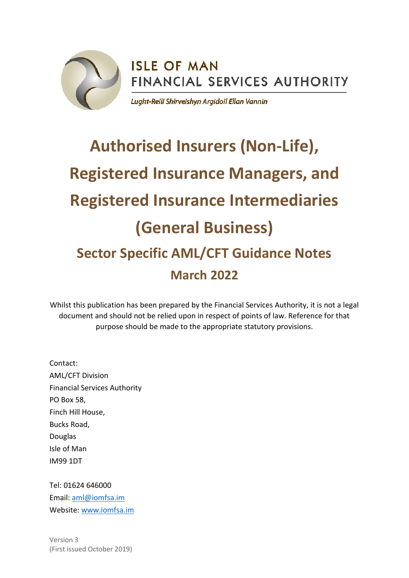

## **ISLE OF MAN** FINANCIAL SERVICES AUTHORITY

Lught-Reill Shirveishyn Argidoil Ellan Vannin

# **Authorised Insurers (Non-Life), Registered Insurance Managers, and Registered Insurance Intermediaries (General Business) Sector Specific AML/CFT Guidance Notes March 2022**

Whilst this publication has been prepared by the Financial Services Authority, it is not a legal document and should not be relied upon in respect of points of law. Reference for that purpose should be made to the appropriate statutory provisions.

Contact: AML/CFT Division Financial Services Authority PO Box 58, Finch Hill House, Bucks Road, Douglas Isle of Man IM99 1DT

Tel: 01624 646000 Email: [aml@iomfsa.im](mailto:aml@iomfsa.im) Website: [www.iomfsa.im](http://www.iomfsa.im/)

Version 3 (First issued October 2019)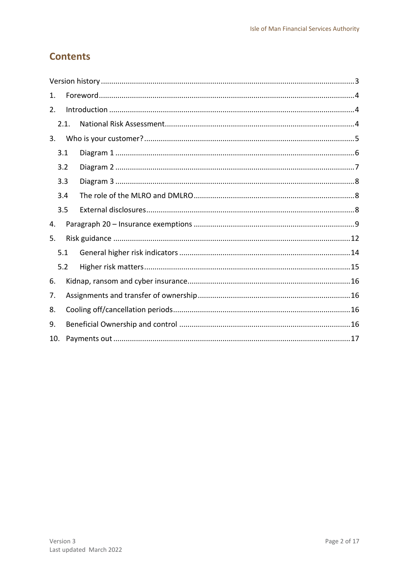## **Contents**

| 1.  |      |  |  |
|-----|------|--|--|
| 2.  |      |  |  |
|     | 2.1. |  |  |
| 3.  |      |  |  |
| 3.1 |      |  |  |
| 3.2 |      |  |  |
| 3.3 |      |  |  |
| 3.4 |      |  |  |
| 3.5 |      |  |  |
| 4.  |      |  |  |
| 5.  |      |  |  |
| 5.1 |      |  |  |
| 5.2 |      |  |  |
| 6.  |      |  |  |
| 7.  |      |  |  |
| 8.  |      |  |  |
| 9.  |      |  |  |
| 10. |      |  |  |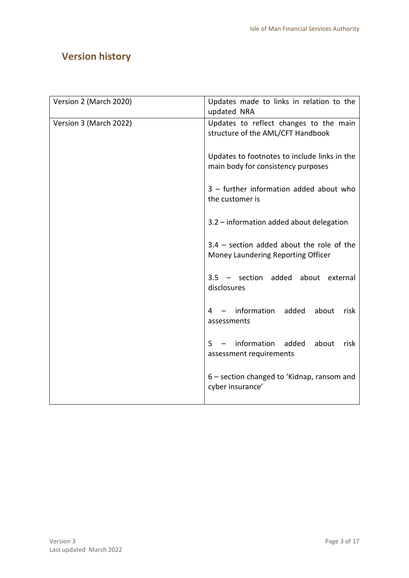## <span id="page-2-0"></span>**Version history**

| Version 2 (March 2020) | Updates made to links in relation to the<br>updated NRA                            |
|------------------------|------------------------------------------------------------------------------------|
| Version 3 (March 2022) | Updates to reflect changes to the main<br>structure of the AML/CFT Handbook        |
|                        | Updates to footnotes to include links in the<br>main body for consistency purposes |
|                        | 3 - further information added about who<br>the customer is                         |
|                        | 3.2 - information added about delegation                                           |
|                        | $3.4$ – section added about the role of the<br>Money Laundering Reporting Officer  |
|                        | 3.5 - section added about external<br>disclosures                                  |
|                        | 4 - information<br>added<br>about<br>risk<br>assessments                           |
|                        | information<br>added<br>about<br>$5 -$<br>risk<br>assessment requirements          |
|                        | 6 - section changed to 'Kidnap, ransom and<br>cyber insurance'                     |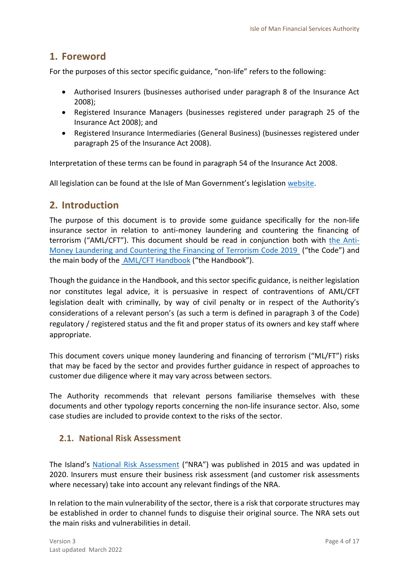## <span id="page-3-0"></span>**1. Foreword**

For the purposes of this sector specific guidance, "non-life" refers to the following:

- Authorised Insurers (businesses authorised under paragraph 8 of the Insurance Act 2008);
- Registered Insurance Managers (businesses registered under paragraph 25 of the Insurance Act 2008); and
- Registered Insurance Intermediaries (General Business) (businesses registered under paragraph 25 of the Insurance Act 2008).

Interpretation of these terms can be found in paragraph 54 of the Insurance Act 2008.

All legislation can be found at the Isle of Man Government's legislation [website.](https://legislation.gov.im/cms/)

## <span id="page-3-1"></span>**2. Introduction**

The purpose of this document is to provide some guidance specifically for the non-life insurance sector in relation to anti-money laundering and countering the financing of terrorism ("AML/CFT"). This document should be read in conjunction both with [the Anti-](https://www.iomfsa.im/amlcft/amlcft-requirements-and-guidance/)[Money Laundering and Countering the Financing of Terrorism Code 2019](https://www.iomfsa.im/amlcft/amlcft-requirements-and-guidance/) ("the Code") and the main body of the [AML/CFT Handbook](https://www.iomfsa.im/amlcft/amlcft-requirements-and-guidance/) ("the Handbook").

Though the guidance in the Handbook, and this sector specific guidance, is neither legislation nor constitutes legal advice, it is persuasive in respect of contraventions of AML/CFT legislation dealt with criminally, by way of civil penalty or in respect of the Authority's considerations of a relevant person's (as such a term is defined in paragraph 3 of the Code) regulatory / registered status and the fit and proper status of its owners and key staff where appropriate.

This document covers unique money laundering and financing of terrorism ("ML/FT") risks that may be faced by the sector and provides further guidance in respect of approaches to customer due diligence where it may vary across between sectors.

The Authority recommends that relevant persons familiarise themselves with these documents and other typology reports concerning the non-life insurance sector. Also, some case studies are included to provide context to the risks of the sector.

#### <span id="page-3-2"></span>**2.1. National Risk Assessment**

The Island's [National Risk Assessment](https://www.gov.im/about-the-government/departments/cabinet-office/national-risk-assessment/) ("NRA") was published in 2015 and was updated in 2020. Insurers must ensure their business risk assessment (and customer risk assessments where necessary) take into account any relevant findings of the NRA.

In relation to the main vulnerability of the sector, there is a risk that corporate structures may be established in order to channel funds to disguise their original source. The NRA sets out the main risks and vulnerabilities in detail.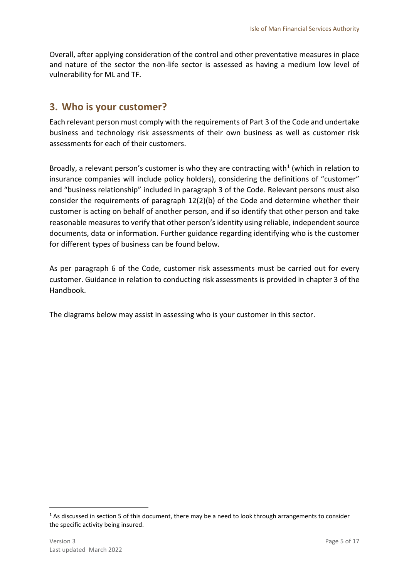Overall, after applying consideration of the control and other preventative measures in place and nature of the sector the non-life sector is assessed as having a medium low level of vulnerability for ML and TF.

## <span id="page-4-0"></span>**3. Who is your customer?**

Each relevant person must comply with the requirements of Part 3 of the Code and undertake business and technology risk assessments of their own business as well as customer risk assessments for each of their customers.

Broadly, a relevant person's customer is who they are contracting with<sup>1</sup> (which in relation to insurance companies will include policy holders), considering the definitions of "customer" and "business relationship" included in paragraph 3 of the Code. Relevant persons must also consider the requirements of paragraph 12(2)(b) of the Code and determine whether their customer is acting on behalf of another person, and if so identify that other person and take reasonable measures to verify that other person's identity using reliable, independent source documents, data or information. Further guidance regarding identifying who is the customer for different types of business can be found below.

As per paragraph 6 of the Code, customer risk assessments must be carried out for every customer. Guidance in relation to conducting risk assessments is provided in chapter 3 of the Handbook.

The diagrams below may assist in assessing who is your customer in this sector.

-

 $1$  As discussed in section 5 of this document, there may be a need to look through arrangements to consider the specific activity being insured.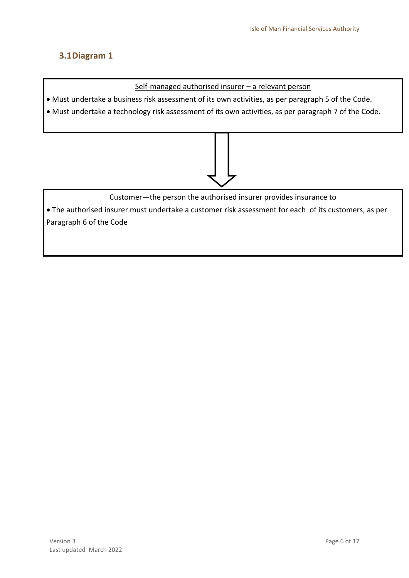#### <span id="page-5-0"></span>**3.1Diagram 1**

Self-managed authorised insurer – a relevant person

Must undertake a business risk assessment of its own activities, as per paragraph 5 of the Code.

Must undertake a technology risk assessment of its own activities, as per paragraph 7 of the Code.



Customer—the person the authorised insurer provides insurance to

 The authorised insurer must undertake a customer risk assessment for each of its customers, as per Paragraph 6 of the Code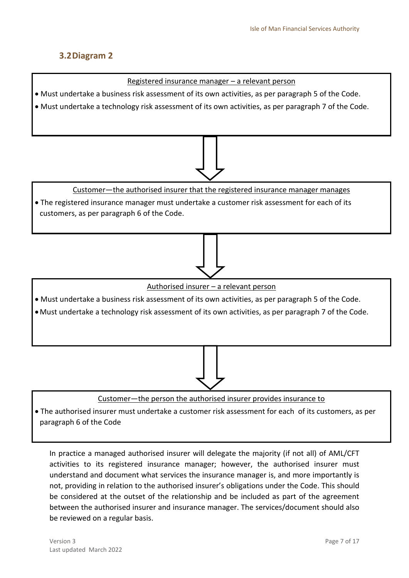#### <span id="page-6-0"></span>**3.2Diagram 2**



paragraph 6 of the Code

In practice a managed authorised insurer will delegate the majority (if not all) of AML/CFT activities to its registered insurance manager; however, the authorised insurer must understand and document what services the insurance manager is, and more importantly is not, providing in relation to the authorised insurer's obligations under the Code. This should be considered at the outset of the relationship and be included as part of the agreement between the authorised insurer and insurance manager. The services/document should also be reviewed on a regular basis.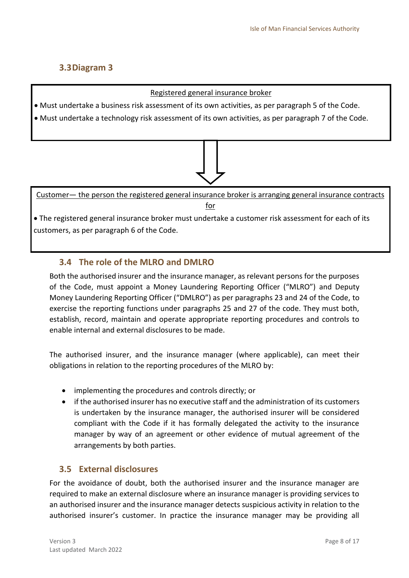#### <span id="page-7-0"></span>**3.3Diagram 3**

#### Registered general insurance broker

- Must undertake a business risk assessment of its own activities, as per paragraph 5 of the Code.
- Must undertake a technology risk assessment of its own activities, as per paragraph 7 of the Code.

Customer— the person the registered general insurance broker is arranging general insurance contracts for

 The registered general insurance broker must undertake a customer risk assessment for each of its customers, as per paragraph 6 of the Code.

## <span id="page-7-1"></span>**3.4 The role of the MLRO and DMLRO**

Both the authorised insurer and the insurance manager, as relevant persons for the purposes of the Code, must appoint a Money Laundering Reporting Officer ("MLRO") and Deputy Money Laundering Reporting Officer ("DMLRO") as per paragraphs 23 and 24 of the Code, to exercise the reporting functions under paragraphs 25 and 27 of the code. They must both, establish, record, maintain and operate appropriate reporting procedures and controls to enable internal and external disclosures to be made.

The authorised insurer, and the insurance manager (where applicable), can meet their obligations in relation to the reporting procedures of the MLRO by:

- implementing the procedures and controls directly; or
- if the authorised insurer has no executive staff and the administration of its customers is undertaken by the insurance manager, the authorised insurer will be considered compliant with the Code if it has formally delegated the activity to the insurance manager by way of an agreement or other evidence of mutual agreement of the arrangements by both parties.

#### <span id="page-7-2"></span>**3.5 External disclosures**

For the avoidance of doubt, both the authorised insurer and the insurance manager are required to make an external disclosure where an insurance manager is providing services to an authorised insurer and the insurance manager detects suspicious activity in relation to the authorised insurer's customer. In practice the insurance manager may be providing all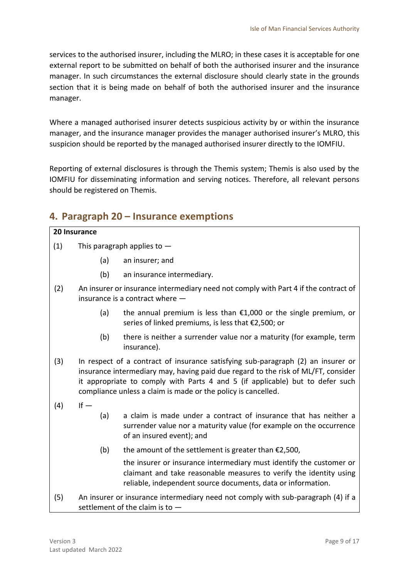services to the authorised insurer, including the MLRO; in these cases it is acceptable for one external report to be submitted on behalf of both the authorised insurer and the insurance manager. In such circumstances the external disclosure should clearly state in the grounds section that it is being made on behalf of both the authorised insurer and the insurance manager.

Where a managed authorised insurer detects suspicious activity by or within the insurance manager, and the insurance manager provides the manager authorised insurer's MLRO, this suspicion should be reported by the managed authorised insurer directly to the IOMFIU.

Reporting of external disclosures is through the Themis system; Themis is also used by the IOMFIU for disseminating information and serving notices. Therefore, all relevant persons should be registered on Themis.

## <span id="page-8-0"></span>**4. Paragraph 20 – Insurance exemptions**

| 20 Insurance |                                                                                                                                                                                                                                                                                                                         |                                                                                                                                                                                                           |  |
|--------------|-------------------------------------------------------------------------------------------------------------------------------------------------------------------------------------------------------------------------------------------------------------------------------------------------------------------------|-----------------------------------------------------------------------------------------------------------------------------------------------------------------------------------------------------------|--|
| (1)          | This paragraph applies to $-$                                                                                                                                                                                                                                                                                           |                                                                                                                                                                                                           |  |
|              | (a)                                                                                                                                                                                                                                                                                                                     | an insurer; and                                                                                                                                                                                           |  |
|              | (b)                                                                                                                                                                                                                                                                                                                     | an insurance intermediary.                                                                                                                                                                                |  |
| (2)          | An insurer or insurance intermediary need not comply with Part 4 if the contract of<br>insurance is a contract where $-$                                                                                                                                                                                                |                                                                                                                                                                                                           |  |
|              | (a)                                                                                                                                                                                                                                                                                                                     | the annual premium is less than $£1,000$ or the single premium, or<br>series of linked premiums, is less that €2,500; or                                                                                  |  |
|              | (b)                                                                                                                                                                                                                                                                                                                     | there is neither a surrender value nor a maturity (for example, term<br>insurance).                                                                                                                       |  |
| (3)          | In respect of a contract of insurance satisfying sub-paragraph (2) an insurer or<br>insurance intermediary may, having paid due regard to the risk of ML/FT, consider<br>it appropriate to comply with Parts 4 and 5 (if applicable) but to defer such<br>compliance unless a claim is made or the policy is cancelled. |                                                                                                                                                                                                           |  |
| (4)          | $If -$<br>(a)                                                                                                                                                                                                                                                                                                           | a claim is made under a contract of insurance that has neither a<br>surrender value nor a maturity value (for example on the occurrence<br>of an insured event); and                                      |  |
|              | (b)                                                                                                                                                                                                                                                                                                                     | the amount of the settlement is greater than $£2,500$ ,                                                                                                                                                   |  |
|              |                                                                                                                                                                                                                                                                                                                         | the insurer or insurance intermediary must identify the customer or<br>claimant and take reasonable measures to verify the identity using<br>reliable, independent source documents, data or information. |  |
| (5)          |                                                                                                                                                                                                                                                                                                                         | An insurer or insurance intermediary need not comply with sub-paragraph (4) if a<br>settlement of the claim is to $-$                                                                                     |  |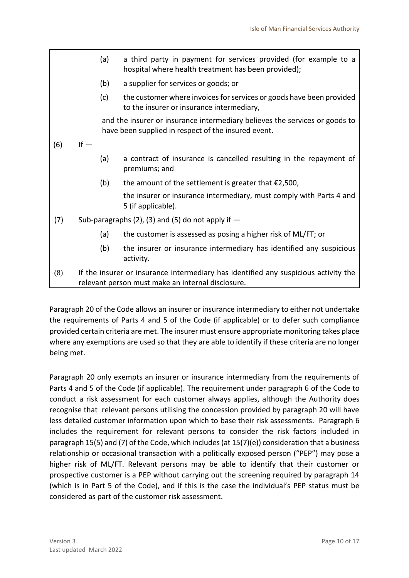|     |                                                                                                                                          | (a) | a third party in payment for services provided (for example to a<br>hospital where health treatment has been provided);            |
|-----|------------------------------------------------------------------------------------------------------------------------------------------|-----|------------------------------------------------------------------------------------------------------------------------------------|
|     |                                                                                                                                          | (b) | a supplier for services or goods; or                                                                                               |
|     |                                                                                                                                          | (c) | the customer where invoices for services or goods have been provided<br>to the insurer or insurance intermediary,                  |
|     |                                                                                                                                          |     | and the insurer or insurance intermediary believes the services or goods to<br>have been supplied in respect of the insured event. |
| (6) | $If -$                                                                                                                                   |     |                                                                                                                                    |
|     |                                                                                                                                          | (a) | a contract of insurance is cancelled resulting in the repayment of<br>premiums; and                                                |
|     |                                                                                                                                          | (b) | the amount of the settlement is greater that $\epsilon$ 2,500,                                                                     |
|     |                                                                                                                                          |     | the insurer or insurance intermediary, must comply with Parts 4 and<br>5 (if applicable).                                          |
| (7) | Sub-paragraphs (2), (3) and (5) do not apply if $-$                                                                                      |     |                                                                                                                                    |
|     |                                                                                                                                          | (a) | the customer is assessed as posing a higher risk of ML/FT; or                                                                      |
|     |                                                                                                                                          | (b) | the insurer or insurance intermediary has identified any suspicious<br>activity.                                                   |
| (8) | If the insurer or insurance intermediary has identified any suspicious activity the<br>relevant person must make an internal disclosure. |     |                                                                                                                                    |

Paragraph 20 of the Code allows an insurer or insurance intermediary to either not undertake the requirements of Parts 4 and 5 of the Code (if applicable) or to defer such compliance provided certain criteria are met. The insurer must ensure appropriate monitoring takes place where any exemptions are used so that they are able to identify if these criteria are no longer being met.

Paragraph 20 only exempts an insurer or insurance intermediary from the requirements of Parts 4 and 5 of the Code (if applicable). The requirement under paragraph 6 of the Code to conduct a risk assessment for each customer always applies, although the Authority does recognise that relevant persons utilising the concession provided by paragraph 20 will have less detailed customer information upon which to base their risk assessments. Paragraph 6 includes the requirement for relevant persons to consider the risk factors included in paragraph 15(5) and (7) of the Code, which includes (at 15(7)(e)) consideration that a business relationship or occasional transaction with a politically exposed person ("PEP") may pose a higher risk of ML/FT. Relevant persons may be able to identify that their customer or prospective customer is a PEP without carrying out the screening required by paragraph 14 (which is in Part 5 of the Code), and if this is the case the individual's PEP status must be considered as part of the customer risk assessment.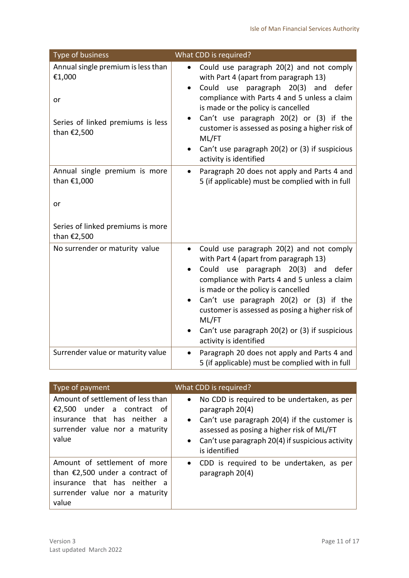| Type of business                                                                                       | What CDD is required?                                                                                                                                                                                                                                                                                                                                                                                                                                    |
|--------------------------------------------------------------------------------------------------------|----------------------------------------------------------------------------------------------------------------------------------------------------------------------------------------------------------------------------------------------------------------------------------------------------------------------------------------------------------------------------------------------------------------------------------------------------------|
| Annual single premium is less than<br>€1,000<br>or<br>Series of linked premiums is less<br>than €2,500 | Could use paragraph 20(2) and not comply<br>$\bullet$<br>with Part 4 (apart from paragraph 13)<br>Could use paragraph 20(3) and<br>defer<br>compliance with Parts 4 and 5 unless a claim<br>is made or the policy is cancelled<br>Can't use paragraph 20(2) or (3) if the<br>customer is assessed as posing a higher risk of<br>ML/FT<br>Can't use paragraph 20(2) or (3) if suspicious<br>$\bullet$<br>activity is identified                           |
| Annual single premium is more<br>than €1,000<br>or<br>Series of linked premiums is more<br>than €2,500 | Paragraph 20 does not apply and Parts 4 and<br>$\bullet$<br>5 (if applicable) must be complied with in full                                                                                                                                                                                                                                                                                                                                              |
| No surrender or maturity value                                                                         | Could use paragraph 20(2) and not comply<br>$\bullet$<br>with Part 4 (apart from paragraph 13)<br>Could use paragraph 20(3) and<br>defer<br>$\bullet$<br>compliance with Parts 4 and 5 unless a claim<br>is made or the policy is cancelled<br>Can't use paragraph 20(2) or (3) if the<br>$\bullet$<br>customer is assessed as posing a higher risk of<br>ML/FT<br>Can't use paragraph 20(2) or (3) if suspicious<br>$\bullet$<br>activity is identified |
| Surrender value or maturity value                                                                      | Paragraph 20 does not apply and Parts 4 and<br>5 (if applicable) must be complied with in full                                                                                                                                                                                                                                                                                                                                                           |

| Type of payment                                                                                                                                  | What CDD is required?                                                                                                                                                                                                                                                   |
|--------------------------------------------------------------------------------------------------------------------------------------------------|-------------------------------------------------------------------------------------------------------------------------------------------------------------------------------------------------------------------------------------------------------------------------|
| Amount of settlement of less than<br>€2,500<br>under a contract of<br>insurance that has neither a<br>surrender value nor a maturity<br>value    | No CDD is required to be undertaken, as per<br>$\bullet$<br>paragraph 20(4)<br>Can't use paragraph 20(4) if the customer is<br>$\bullet$<br>assessed as posing a higher risk of ML/FT<br>Can't use paragraph 20(4) if suspicious activity<br>$\bullet$<br>is identified |
| Amount of settlement of more<br>than $£2,500$ under a contract of<br>insurance that has neither<br>่ล<br>surrender value nor a maturity<br>value | CDD is required to be undertaken, as per<br>$\bullet$<br>paragraph 20(4)                                                                                                                                                                                                |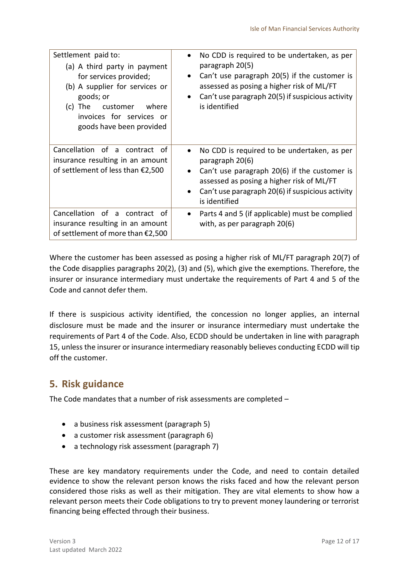| Settlement paid to:<br>(a) A third party in payment<br>for services provided;<br>(b) A supplier for services or<br>goods; or<br>The<br>customer where<br>(C)<br>invoices for services or<br>goods have been provided | No CDD is required to be undertaken, as per<br>$\bullet$<br>paragraph 20(5)<br>Can't use paragraph 20(5) if the customer is<br>$\bullet$<br>assessed as posing a higher risk of ML/FT<br>Can't use paragraph 20(5) if suspicious activity<br>$\bullet$<br>is identified |
|----------------------------------------------------------------------------------------------------------------------------------------------------------------------------------------------------------------------|-------------------------------------------------------------------------------------------------------------------------------------------------------------------------------------------------------------------------------------------------------------------------|
| Cancellation of a contract of<br>insurance resulting in an amount<br>of settlement of less than $£2,500$                                                                                                             | No CDD is required to be undertaken, as per<br>$\bullet$<br>paragraph 20(6)<br>Can't use paragraph 20(6) if the customer is<br>assessed as posing a higher risk of ML/FT<br>Can't use paragraph 20(6) if suspicious activity<br>is identified                           |
| Cancellation of a contract of<br>insurance resulting in an amount<br>of settlement of more than $£2,500$                                                                                                             | Parts 4 and 5 (if applicable) must be complied<br>$\bullet$<br>with, as per paragraph 20(6)                                                                                                                                                                             |

Where the customer has been assessed as posing a higher risk of ML/FT paragraph 20(7) of the Code disapplies paragraphs 20(2), (3) and (5), which give the exemptions. Therefore, the insurer or insurance intermediary must undertake the requirements of Part 4 and 5 of the Code and cannot defer them.

If there is suspicious activity identified, the concession no longer applies, an internal disclosure must be made and the insurer or insurance intermediary must undertake the requirements of Part 4 of the Code. Also, ECDD should be undertaken in line with paragraph 15, unless the insurer or insurance intermediary reasonably believes conducting ECDD will tip off the customer.

## <span id="page-11-0"></span>**5. Risk guidance**

The Code mandates that a number of risk assessments are completed –

- a business risk assessment (paragraph 5)
- a customer risk assessment (paragraph 6)
- a technology risk assessment (paragraph 7)

These are key mandatory requirements under the Code, and need to contain detailed evidence to show the relevant person knows the risks faced and how the relevant person considered those risks as well as their mitigation. They are vital elements to show how a relevant person meets their Code obligations to try to prevent money laundering or terrorist financing being effected through their business.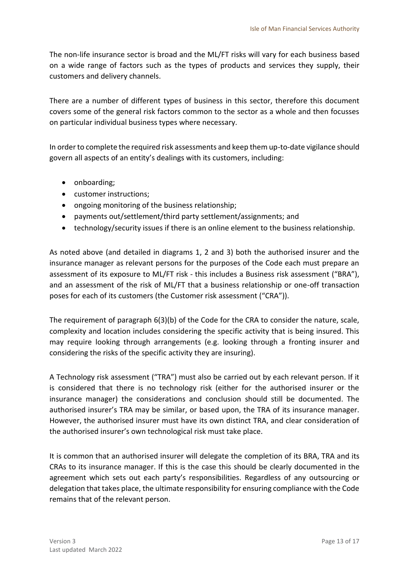The non-life insurance sector is broad and the ML/FT risks will vary for each business based on a wide range of factors such as the types of products and services they supply, their customers and delivery channels.

There are a number of different types of business in this sector, therefore this document covers some of the general risk factors common to the sector as a whole and then focusses on particular individual business types where necessary.

In order to complete the required risk assessments and keep them up-to-date vigilance should govern all aspects of an entity's dealings with its customers, including:

- onboarding;
- customer instructions;
- ongoing monitoring of the business relationship;
- payments out/settlement/third party settlement/assignments; and
- technology/security issues if there is an online element to the business relationship.

As noted above (and detailed in diagrams 1, 2 and 3) both the authorised insurer and the insurance manager as relevant persons for the purposes of the Code each must prepare an assessment of its exposure to ML/FT risk - this includes a Business risk assessment ("BRA"), and an assessment of the risk of ML/FT that a business relationship or one-off transaction poses for each of its customers (the Customer risk assessment ("CRA")).

The requirement of paragraph 6(3)(b) of the Code for the CRA to consider the nature, scale, complexity and location includes considering the specific activity that is being insured. This may require looking through arrangements (e.g. looking through a fronting insurer and considering the risks of the specific activity they are insuring).

A Technology risk assessment ("TRA") must also be carried out by each relevant person. If it is considered that there is no technology risk (either for the authorised insurer or the insurance manager) the considerations and conclusion should still be documented. The authorised insurer's TRA may be similar, or based upon, the TRA of its insurance manager. However, the authorised insurer must have its own distinct TRA, and clear consideration of the authorised insurer's own technological risk must take place.

It is common that an authorised insurer will delegate the completion of its BRA, TRA and its CRAs to its insurance manager. If this is the case this should be clearly documented in the agreement which sets out each party's responsibilities. Regardless of any outsourcing or delegation that takes place, the ultimate responsibility for ensuring compliance with the Code remains that of the relevant person.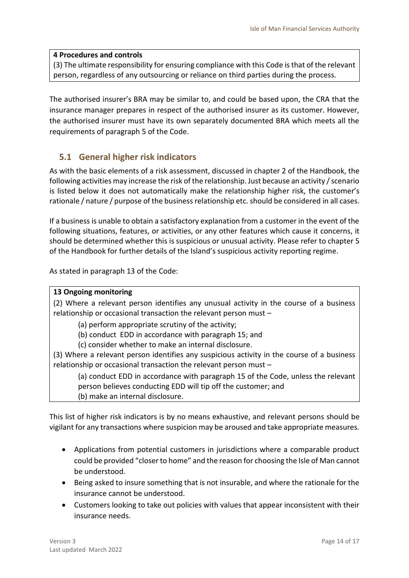#### **4 Procedures and controls**

(3) The ultimate responsibility for ensuring compliance with this Code is that of the relevant person, regardless of any outsourcing or reliance on third parties during the process.

The authorised insurer's BRA may be similar to, and could be based upon, the CRA that the insurance manager prepares in respect of the authorised insurer as its customer. However, the authorised insurer must have its own separately documented BRA which meets all the requirements of paragraph 5 of the Code.

#### <span id="page-13-0"></span>**5.1 General higher risk indicators**

As with the basic elements of a risk assessment, discussed in chapter 2 of the Handbook, the following activities may increase the risk of the relationship. Just because an activity / scenario is listed below it does not automatically make the relationship higher risk, the customer's rationale / nature / purpose of the business relationship etc. should be considered in all cases.

If a business is unable to obtain a satisfactory explanation from a customer in the event of the following situations, features, or activities, or any other features which cause it concerns, it should be determined whether this is suspicious or unusual activity. Please refer to chapter 5 of the Handbook for further details of the Island's suspicious activity reporting regime.

As stated in paragraph 13 of the Code:

#### **13 Ongoing monitoring**

(2) Where a relevant person identifies any unusual activity in the course of a business relationship or occasional transaction the relevant person must –

(a) perform appropriate scrutiny of the activity;

(b) conduct EDD in accordance with paragraph 15; and

(c) consider whether to make an internal disclosure.

(3) Where a relevant person identifies any suspicious activity in the course of a business relationship or occasional transaction the relevant person must –

(a) conduct EDD in accordance with paragraph 15 of the Code, unless the relevant person believes conducting EDD will tip off the customer; and (b) make an internal disclosure.

This list of higher risk indicators is by no means exhaustive, and relevant persons should be vigilant for any transactions where suspicion may be aroused and take appropriate measures.

- Applications from potential customers in jurisdictions where a comparable product could be provided "closer to home" and the reason for choosing the Isle of Man cannot be understood.
- Being asked to insure something that is not insurable, and where the rationale for the insurance cannot be understood.
- Customers looking to take out policies with values that appear inconsistent with their insurance needs.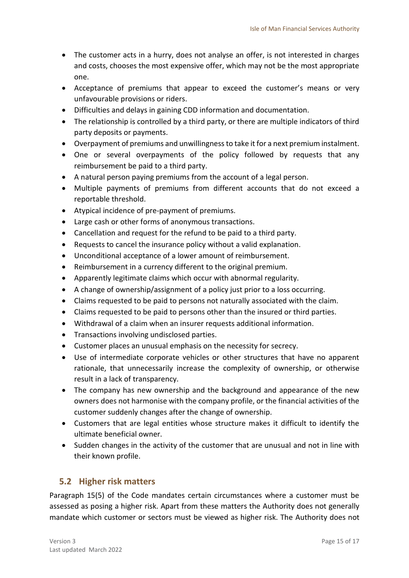- The customer acts in a hurry, does not analyse an offer, is not interested in charges and costs, chooses the most expensive offer, which may not be the most appropriate one.
- Acceptance of premiums that appear to exceed the customer's means or very unfavourable provisions or riders.
- Difficulties and delays in gaining CDD information and documentation.
- The relationship is controlled by a third party, or there are multiple indicators of third party deposits or payments.
- Overpayment of premiums and unwillingnessto take it for a next premium instalment.
- One or several overpayments of the policy followed by requests that any reimbursement be paid to a third party.
- A natural person paying premiums from the account of a legal person.
- Multiple payments of premiums from different accounts that do not exceed a reportable threshold.
- Atypical incidence of pre-payment of premiums.
- Large cash or other forms of anonymous transactions.
- Cancellation and request for the refund to be paid to a third party.
- Requests to cancel the insurance policy without a valid explanation.
- Unconditional acceptance of a lower amount of reimbursement.
- Reimbursement in a currency different to the original premium.
- Apparently legitimate claims which occur with abnormal regularity.
- A change of ownership/assignment of a policy just prior to a loss occurring.
- Claims requested to be paid to persons not naturally associated with the claim.
- Claims requested to be paid to persons other than the insured or third parties.
- Withdrawal of a claim when an insurer requests additional information.
- Transactions involving undisclosed parties.
- Customer places an unusual emphasis on the necessity for secrecy.
- Use of intermediate corporate vehicles or other structures that have no apparent rationale, that unnecessarily increase the complexity of ownership, or otherwise result in a lack of transparency.
- The company has new ownership and the background and appearance of the new owners does not harmonise with the company profile, or the financial activities of the customer suddenly changes after the change of ownership.
- Customers that are legal entities whose structure makes it difficult to identify the ultimate beneficial owner.
- Sudden changes in the activity of the customer that are unusual and not in line with their known profile.

#### <span id="page-14-0"></span>**5.2 Higher risk matters**

Paragraph 15(5) of the Code mandates certain circumstances where a customer must be assessed as posing a higher risk. Apart from these matters the Authority does not generally mandate which customer or sectors must be viewed as higher risk. The Authority does not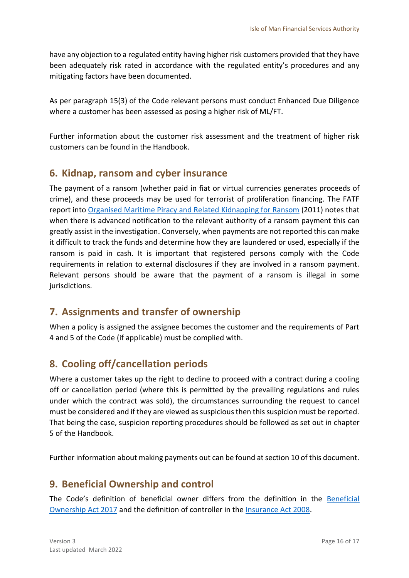have any objection to a regulated entity having higher risk customers provided that they have been adequately risk rated in accordance with the regulated entity's procedures and any mitigating factors have been documented.

As per paragraph 15(3) of the Code relevant persons must conduct Enhanced Due Diligence where a customer has been assessed as posing a higher risk of ML/FT.

Further information about the customer risk assessment and the treatment of higher risk customers can be found in the Handbook.

## <span id="page-15-0"></span>**6. Kidnap, ransom and cyber insurance**

The payment of a ransom (whether paid in fiat or virtual currencies generates proceeds of crime), and these proceeds may be used for terrorist of proliferation financing. The FATF report into [Organised Maritime Piracy and Related Kidnapping for Ransom](http://www.fatf-gafi.org/publications/methodsandtrends/documents/organisedmaritimepiracyandrelatedkidnappingforransom.html) (2011) notes that when there is advanced notification to the relevant authority of a ransom payment this can greatly assist in the investigation. Conversely, when payments are not reported this can make it difficult to track the funds and determine how they are laundered or used, especially if the ransom is paid in cash. It is important that registered persons comply with the Code requirements in relation to external disclosures if they are involved in a ransom payment. Relevant persons should be aware that the payment of a ransom is illegal in some jurisdictions.

## <span id="page-15-1"></span>**7. Assignments and transfer of ownership**

When a policy is assigned the assignee becomes the customer and the requirements of Part 4 and 5 of the Code (if applicable) must be complied with.

## <span id="page-15-2"></span>**8. Cooling off/cancellation periods**

Where a customer takes up the right to decline to proceed with a contract during a cooling off or cancellation period (where this is permitted by the prevailing regulations and rules under which the contract was sold), the circumstances surrounding the request to cancel must be considered and if they are viewed as suspicious then this suspicion must be reported. That being the case, suspicion reporting procedures should be followed as set out in chapter 5 of the Handbook.

Further information about making payments out can be found at section 10 of this document.

## <span id="page-15-3"></span>**9. Beneficial Ownership and control**

The Code's definition of beneficial owner differs from the definition in the [Beneficial](https://legislation.gov.im/cms/)  [Ownership Act 2017](https://legislation.gov.im/cms/) and the definition of controller in the [Insurance Act 2008.](https://legislation.gov.im/cms/)